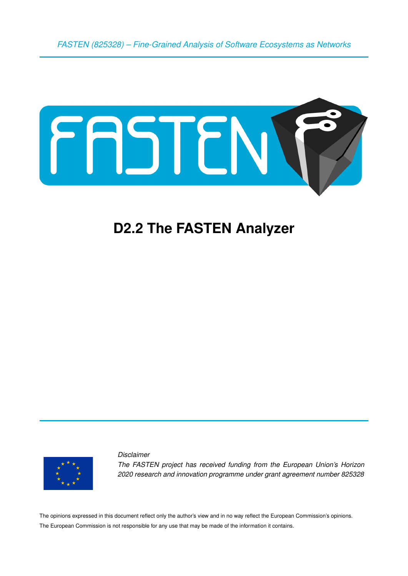*FASTEN (825328) – Fine-Grained Analysis of Software Ecosystems as Networks*



# **D2.2 The FASTEN Analyzer**



*Disclaimer The FASTEN project has received funding from the European Union's Horizon 2020 research and innovation programme under grant agreement number 825328*

The opinions expressed in this document reflect only the author's view and in no way reflect the European Commission's opinions. The European Commission is not responsible for any use that may be made of the information it contains.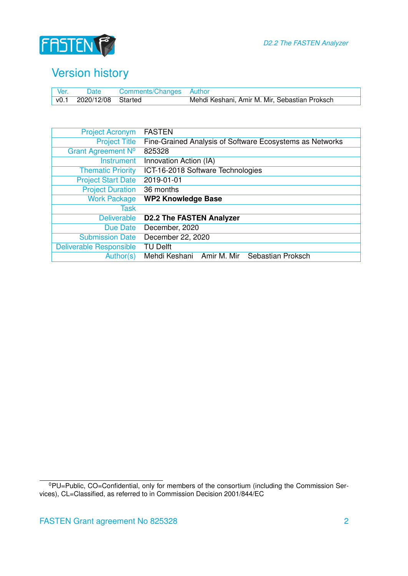

### Version history

| Ver. | Date                    | Comments/Changes Author |                                               |
|------|-------------------------|-------------------------|-----------------------------------------------|
|      | v0.1 2020/12/08 Started |                         | Mehdi Keshani, Amir M. Mir, Sebastian Proksch |

| <b>Project Acronym</b>         | <b>FASTEN</b>                                            |
|--------------------------------|----------------------------------------------------------|
| <b>Project Title</b>           | Fine-Grained Analysis of Software Ecosystems as Networks |
| Grant Agreement Nº             | 825328                                                   |
| <b>Instrument</b>              | Innovation Action (IA)                                   |
| <b>Thematic Priority</b>       | ICT-16-2018 Software Technologies                        |
| <b>Project Start Date</b>      | 2019-01-01                                               |
| <b>Project Duration</b>        | 36 months                                                |
| <b>Work Package</b>            | <b>WP2 Knowledge Base</b>                                |
| Task                           |                                                          |
| <b>Deliverable</b>             | <b>D2.2 The FASTEN Analyzer</b>                          |
| Due Date                       | December, 2020                                           |
| <b>Submission Date</b>         | December 22, 2020                                        |
| <b>Deliverable Responsible</b> | <b>TU Delft</b>                                          |
| Author(s)                      | Amir M. Mir<br>Sebastian Proksch<br>Mehdi Keshani        |

<sup>&</sup>lt;sup>0</sup>PU=Public, CO=Confidential, only for members of the consortium (including the Commission Services), CL=Classified, as referred to in Commission Decision 2001/844/EC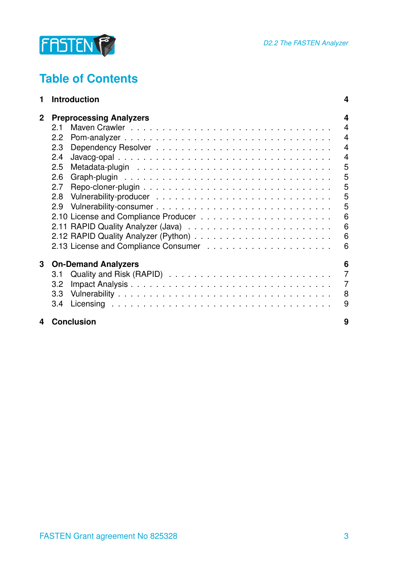

## **Table of Contents**

| 1            | <b>Introduction</b>            | 4              |  |  |  |
|--------------|--------------------------------|----------------|--|--|--|
| $\mathbf{2}$ | <b>Preprocessing Analyzers</b> |                |  |  |  |
|              | 2.1                            | $\overline{4}$ |  |  |  |
|              | 2.2                            | $\overline{4}$ |  |  |  |
|              | 2.3                            | $\overline{4}$ |  |  |  |
|              | 2.4                            | $\overline{4}$ |  |  |  |
|              | 2.5                            | 5              |  |  |  |
|              | 2.6                            | 5              |  |  |  |
|              | 2.7                            | 5              |  |  |  |
|              | 2.8                            | 5              |  |  |  |
|              | 2.9                            | 5              |  |  |  |
|              |                                | 6              |  |  |  |
|              |                                | 6              |  |  |  |
|              |                                | 6              |  |  |  |
|              |                                | 6              |  |  |  |
| 3            | <b>On-Demand Analyzers</b>     | 6              |  |  |  |
|              | 3.1                            | $\overline{7}$ |  |  |  |
|              | 3.2                            | $\overline{7}$ |  |  |  |
|              | 3.3                            | 8              |  |  |  |
|              | 3.4                            | 9              |  |  |  |
| 4            | <b>Conclusion</b>              | 9              |  |  |  |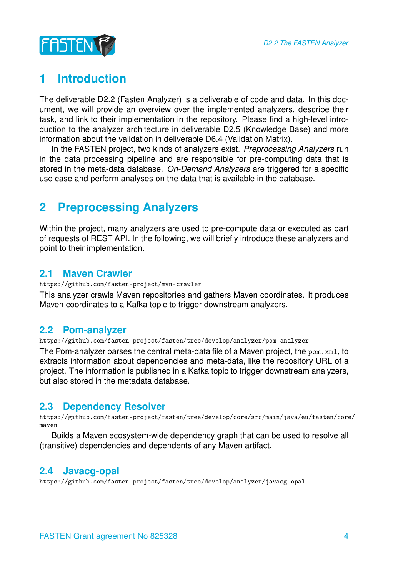

### <span id="page-3-0"></span>**1 Introduction**

The deliverable D2.2 (Fasten Analyzer) is a deliverable of code and data. In this document, we will provide an overview over the implemented analyzers, describe their task, and link to their implementation in the repository. Please find a high-level introduction to the analyzer architecture in deliverable D2.5 (Knowledge Base) and more information about the validation in deliverable D6.4 (Validation Matrix).

In the FASTEN project, two kinds of analyzers exist. *Preprocessing Analyzers* run in the data processing pipeline and are responsible for pre-computing data that is stored in the meta-data database. *On-Demand Analyzers* are triggered for a specific use case and perform analyses on the data that is available in the database.

### <span id="page-3-1"></span>**2 Preprocessing Analyzers**

Within the project, many analyzers are used to pre-compute data or executed as part of requests of REST API. In the following, we will briefly introduce these analyzers and point to their implementation.

#### <span id="page-3-2"></span>**2.1 Maven Crawler**

<https://github.com/fasten-project/mvn-crawler>

This analyzer crawls Maven repositories and gathers Maven coordinates. It produces Maven coordinates to a Kafka topic to trigger downstream analyzers.

#### <span id="page-3-3"></span>**2.2 Pom-analyzer**

<https://github.com/fasten-project/fasten/tree/develop/analyzer/pom-analyzer>

The Pom-analyzer parses the central meta-data file of a Maven project, the pom.xml, to extracts information about dependencies and meta-data, like the repository URL of a project. The information is published in a Kafka topic to trigger downstream analyzers, but also stored in the metadata database.

#### <span id="page-3-4"></span>**2.3 Dependency Resolver**

[https://github.com/fasten-project/fasten/tree/develop/core/src/main/java/eu/fasten/core](https://github.com/fasten-project/fasten/tree/develop/core/src/main/java/eu/fasten/core/maven)/ [maven](https://github.com/fasten-project/fasten/tree/develop/core/src/main/java/eu/fasten/core/maven)

Builds a Maven ecosystem-wide dependency graph that can be used to resolve all (transitive) dependencies and dependents of any Maven artifact.

#### <span id="page-3-5"></span>**2.4 Javacg-opal**

<https://github.com/fasten-project/fasten/tree/develop/analyzer/javacg-opal>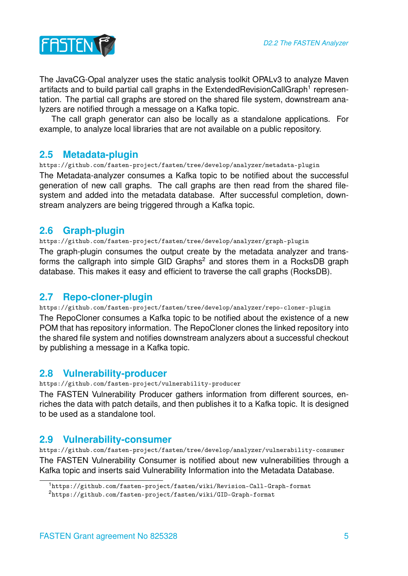

The JavaCG-Opal analyzer uses the static analysis toolkit OPALv3 to analyze Maven artifacts and to build partial call graphs in the ExtendedRevisionCallGraph<sup>[1](#page-4-5)</sup> representation. The partial call graphs are stored on the shared file system, downstream analyzers are notified through a message on a Kafka topic.

The call graph generator can also be locally as a standalone applications. For example, to analyze local libraries that are not available on a public repository.

#### <span id="page-4-0"></span>**2.5 Metadata-plugin**

<https://github.com/fasten-project/fasten/tree/develop/analyzer/metadata-plugin> The Metadata-analyzer consumes a Kafka topic to be notified about the successful generation of new call graphs. The call graphs are then read from the shared filesystem and added into the metadata database. After successful completion, downstream analyzers are being triggered through a Kafka topic.

#### <span id="page-4-1"></span>**2.6 Graph-plugin**

<https://github.com/fasten-project/fasten/tree/develop/analyzer/graph-plugin> The graph-plugin consumes the output create by the metadata analyzer and trans-forms the callgraph into simple GID Graphs<sup>[2](#page-4-6)</sup> and stores them in a RocksDB graph database. This makes it easy and efficient to traverse the call graphs (RocksDB).

#### <span id="page-4-2"></span>**2.7 Repo-cloner-plugin**

<https://github.com/fasten-project/fasten/tree/develop/analyzer/repo-cloner-plugin> The RepoCloner consumes a Kafka topic to be notified about the existence of a new POM that has repository information. The RepoCloner clones the linked repository into the shared file system and notifies downstream analyzers about a successful checkout by publishing a message in a Kafka topic.

#### <span id="page-4-3"></span>**2.8 Vulnerability-producer**

<https://github.com/fasten-project/vulnerability-producer>

The FASTEN Vulnerability Producer gathers information from different sources, enriches the data with patch details, and then publishes it to a Kafka topic. It is designed to be used as a standalone tool.

#### <span id="page-4-4"></span>**2.9 Vulnerability-consumer**

<https://github.com/fasten-project/fasten/tree/develop/analyzer/vulnerability-consumer> The FASTEN Vulnerability Consumer is notified about new vulnerabilities through a Kafka topic and inserts said Vulnerability Information into the Metadata Database.

<span id="page-4-6"></span><span id="page-4-5"></span><sup>1</sup><https://github.com/fasten-project/fasten/wiki/Revision-Call-Graph-format> <sup>2</sup><https://github.com/fasten-project/fasten/wiki/GID-Graph-format>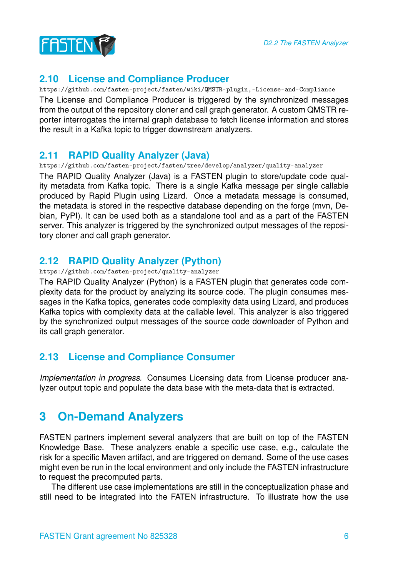



#### <span id="page-5-0"></span>**2.10 License and Compliance Producer**

<https://github.com/fasten-project/fasten/wiki/QMSTR-plugin,-License-and-Compliance> The License and Compliance Producer is triggered by the synchronized messages from the output of the repository cloner and call graph generator. A custom QMSTR reporter interrogates the internal graph database to fetch license information and stores the result in a Kafka topic to trigger downstream analyzers.

#### <span id="page-5-1"></span>**2.11 RAPID Quality Analyzer (Java)**

<https://github.com/fasten-project/fasten/tree/develop/analyzer/quality-analyzer> The RAPID Quality Analyzer (Java) is a FASTEN plugin to store/update code quality metadata from Kafka topic. There is a single Kafka message per single callable produced by Rapid Plugin using Lizard. Once a metadata message is consumed, the metadata is stored in the respective database depending on the forge (mvn, Debian, PyPI). It can be used both as a standalone tool and as a part of the FASTEN server. This analyzer is triggered by the synchronized output messages of the repository cloner and call graph generator.

#### <span id="page-5-2"></span>**2.12 RAPID Quality Analyzer (Python)**

#### <https://github.com/fasten-project/quality-analyzer>

The RAPID Quality Analyzer (Python) is a FASTEN plugin that generates code complexity data for the product by analyzing its source code. The plugin consumes messages in the Kafka topics, generates code complexity data using Lizard, and produces Kafka topics with complexity data at the callable level. This analyzer is also triggered by the synchronized output messages of the source code downloader of Python and its call graph generator.

#### <span id="page-5-3"></span>**2.13 License and Compliance Consumer**

*Implementation in progress.* Consumes Licensing data from License producer analyzer output topic and populate the data base with the meta-data that is extracted.

### <span id="page-5-4"></span>**3 On-Demand Analyzers**

FASTEN partners implement several analyzers that are built on top of the FASTEN Knowledge Base. These analyzers enable a specific use case, e.g., calculate the risk for a specific Maven artifact, and are triggered on demand. Some of the use cases might even be run in the local environment and only include the FASTEN infrastructure to request the precomputed parts.

The different use case implementations are still in the conceptualization phase and still need to be integrated into the FATEN infrastructure. To illustrate how the use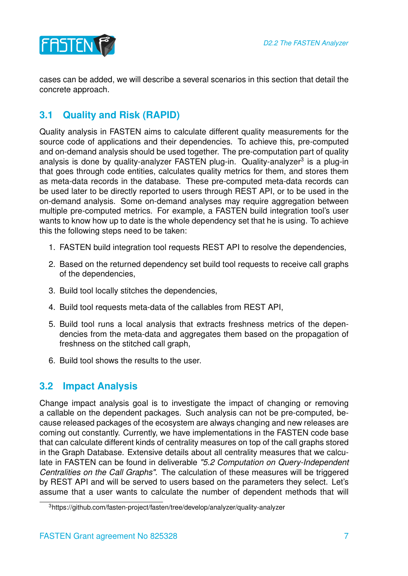

cases can be added, we will describe a several scenarios in this section that detail the concrete approach.

#### <span id="page-6-0"></span>**3.1 Quality and Risk (RAPID)**

Quality analysis in FASTEN aims to calculate different quality measurements for the source code of applications and their dependencies. To achieve this, pre-computed and on-demand analysis should be used together. The pre-computation part of quality analysis is done by quality-analyzer FASTEN plug-in. Quality-analyzer<sup>[3](#page-6-2)</sup> is a plug-in that goes through code entities, calculates quality metrics for them, and stores them as meta-data records in the database. These pre-computed meta-data records can be used later to be directly reported to users through REST API, or to be used in the on-demand analysis. Some on-demand analyses may require aggregation between multiple pre-computed metrics. For example, a FASTEN build integration tool's user wants to know how up to date is the whole dependency set that he is using. To achieve this the following steps need to be taken:

- 1. FASTEN build integration tool requests REST API to resolve the dependencies,
- 2. Based on the returned dependency set build tool requests to receive call graphs of the dependencies,
- 3. Build tool locally stitches the dependencies,
- 4. Build tool requests meta-data of the callables from REST API,
- 5. Build tool runs a local analysis that extracts freshness metrics of the dependencies from the meta-data and aggregates them based on the propagation of freshness on the stitched call graph,
- 6. Build tool shows the results to the user.

#### <span id="page-6-1"></span>**3.2 Impact Analysis**

Change impact analysis goal is to investigate the impact of changing or removing a callable on the dependent packages. Such analysis can not be pre-computed, because released packages of the ecosystem are always changing and new releases are coming out constantly. Currently, we have implementations in the FASTEN code base that can calculate different kinds of centrality measures on top of the call graphs stored in the Graph Database. Extensive details about all centrality measures that we calculate in FASTEN can be found in deliverable *"5.2 Computation on Query-Independent Centralities on the Call Graphs"*. The calculation of these measures will be triggered by REST API and will be served to users based on the parameters they select. Let's assume that a user wants to calculate the number of dependent methods that will

<span id="page-6-2"></span><sup>3</sup>https://github.com/fasten-project/fasten/tree/develop/analyzer/quality-analyzer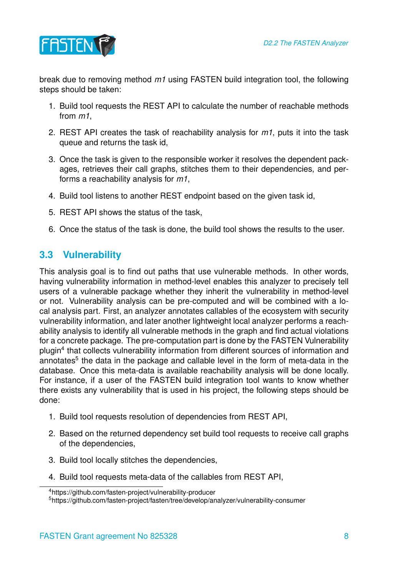

break due to removing method *m1* using FASTEN build integration tool, the following steps should be taken:

- 1. Build tool requests the REST API to calculate the number of reachable methods from *m1*,
- 2. REST API creates the task of reachability analysis for *m1*, puts it into the task queue and returns the task id,
- 3. Once the task is given to the responsible worker it resolves the dependent packages, retrieves their call graphs, stitches them to their dependencies, and performs a reachability analysis for *m1*,
- 4. Build tool listens to another REST endpoint based on the given task id,
- 5. REST API shows the status of the task,
- 6. Once the status of the task is done, the build tool shows the results to the user.

### <span id="page-7-0"></span>**3.3 Vulnerability**

This analysis goal is to find out paths that use vulnerable methods. In other words, having vulnerability information in method-level enables this analyzer to precisely tell users of a vulnerable package whether they inherit the vulnerability in method-level or not. Vulnerability analysis can be pre-computed and will be combined with a local analysis part. First, an analyzer annotates callables of the ecosystem with security vulnerability information, and later another lightweight local analyzer performs a reachability analysis to identify all vulnerable methods in the graph and find actual violations for a concrete package. The pre-computation part is done by the FASTEN Vulnerability plugin<sup>[4](#page-7-1)</sup> that collects vulnerability information from different sources of information and annotates<sup>[5](#page-7-2)</sup> the data in the package and callable level in the form of meta-data in the database. Once this meta-data is available reachability analysis will be done locally. For instance, if a user of the FASTEN build integration tool wants to know whether there exists any vulnerability that is used in his project, the following steps should be done:

- 1. Build tool requests resolution of dependencies from REST API,
- 2. Based on the returned dependency set build tool requests to receive call graphs of the dependencies,
- 3. Build tool locally stitches the dependencies,
- 4. Build tool requests meta-data of the callables from REST API,

<span id="page-7-1"></span><sup>4</sup>https://github.com/fasten-project/vulnerability-producer

<span id="page-7-2"></span><sup>5</sup>https://github.com/fasten-project/fasten/tree/develop/analyzer/vulnerability-consumer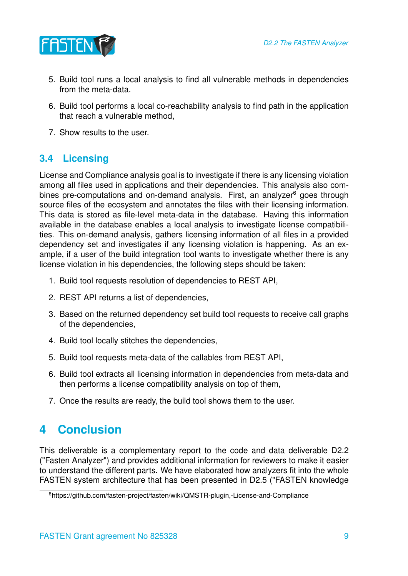

- 5. Build tool runs a local analysis to find all vulnerable methods in dependencies from the meta-data.
- 6. Build tool performs a local co-reachability analysis to find path in the application that reach a vulnerable method,
- 7. Show results to the user.

#### <span id="page-8-0"></span>**3.4 Licensing**

License and Compliance analysis goal is to investigate if there is any licensing violation among all files used in applications and their dependencies. This analysis also combines pre-computations and on-demand analysis. First, an analyzer $6$  goes through source files of the ecosystem and annotates the files with their licensing information. This data is stored as file-level meta-data in the database. Having this information available in the database enables a local analysis to investigate license compatibilities. This on-demand analysis, gathers licensing information of all files in a provided dependency set and investigates if any licensing violation is happening. As an example, if a user of the build integration tool wants to investigate whether there is any license violation in his dependencies, the following steps should be taken:

- 1. Build tool requests resolution of dependencies to REST API,
- 2. REST API returns a list of dependencies,
- 3. Based on the returned dependency set build tool requests to receive call graphs of the dependencies,
- 4. Build tool locally stitches the dependencies,
- 5. Build tool requests meta-data of the callables from REST API,
- 6. Build tool extracts all licensing information in dependencies from meta-data and then performs a license compatibility analysis on top of them,
- 7. Once the results are ready, the build tool shows them to the user.

### <span id="page-8-1"></span>**4 Conclusion**

This deliverable is a complementary report to the code and data deliverable D2.2 ("Fasten Analyzer") and provides additional information for reviewers to make it easier to understand the different parts. We have elaborated how analyzers fit into the whole FASTEN system architecture that has been presented in D2.5 ("FASTEN knowledge

<span id="page-8-2"></span><sup>6</sup>https://github.com/fasten-project/fasten/wiki/QMSTR-plugin,-License-and-Compliance